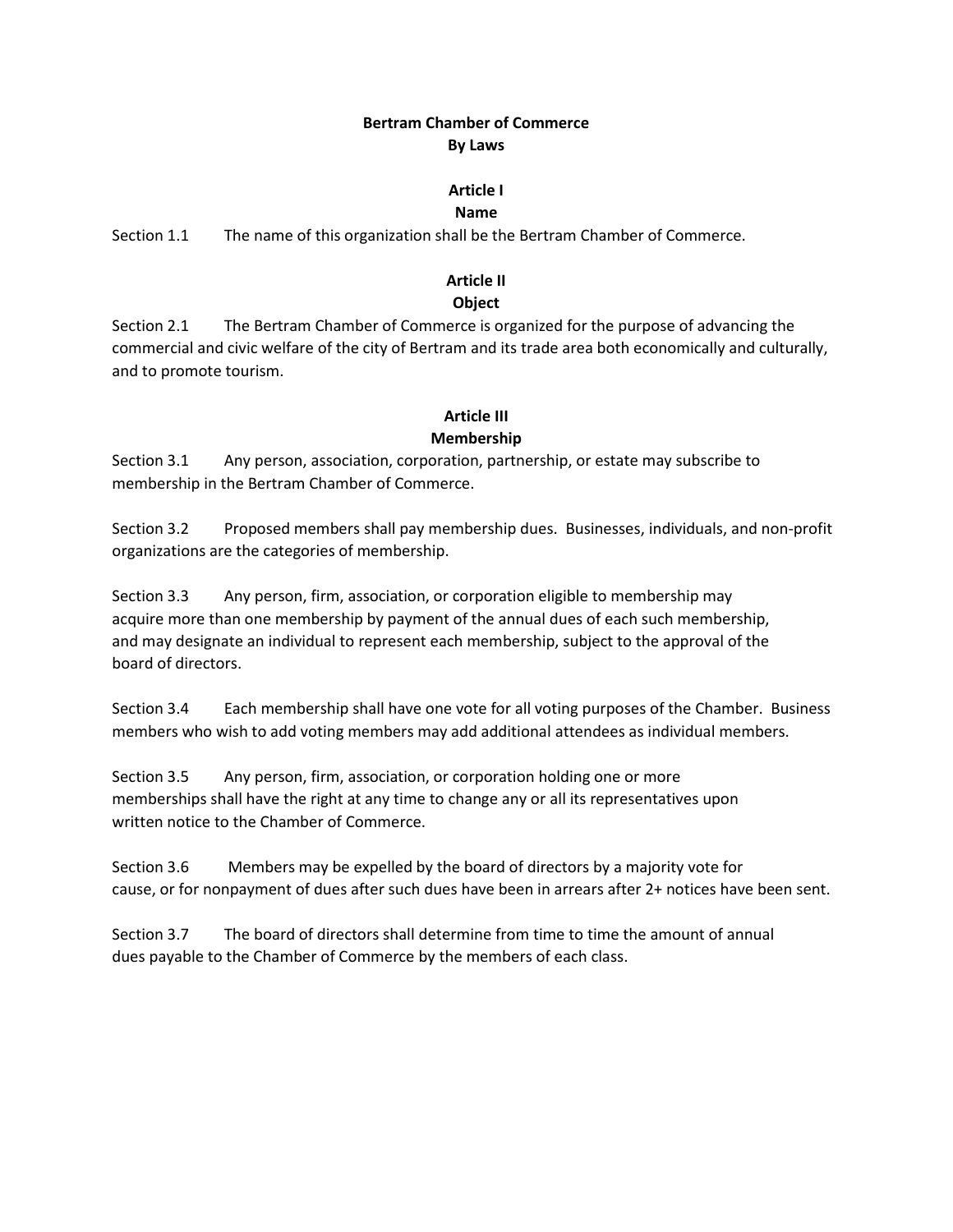## **Bertram Chamber of Commerce By Laws**

#### **Article I**

#### **Name**

Section 1.1 The name of this organization shall be the Bertram Chamber of Commerce.

#### **Article II**

#### **Object**

Section 2.1 The Bertram Chamber of Commerce is organized for the purpose of advancing the commercial and civic welfare of the city of Bertram and its trade area both economically and culturally, and to promote tourism.

#### **Article III**

#### **Membership**

Section 3.1 Any person, association, corporation, partnership, or estate may subscribe to membership in the Bertram Chamber of Commerce.

Section 3.2 Proposed members shall pay membership dues. Businesses, individuals, and non-profit organizations are the categories of membership.

Section 3.3 Any person, firm, association, or corporation eligible to membership may acquire more than one membership by payment of the annual dues of each such membership, and may designate an individual to represent each membership, subject to the approval of the board of directors.

Section 3.4 Each membership shall have one vote for all voting purposes of the Chamber. Business members who wish to add voting members may add additional attendees as individual members.

Section 3.5 Any person, firm, association, or corporation holding one or more memberships shall have the right at any time to change any or all its representatives upon written notice to the Chamber of Commerce.

Section 3.6 Members may be expelled by the board of directors by a majority vote for cause, or for nonpayment of dues after such dues have been in arrears after 2+ notices have been sent.

Section 3.7 The board of directors shall determine from time to time the amount of annual dues payable to the Chamber of Commerce by the members of each class.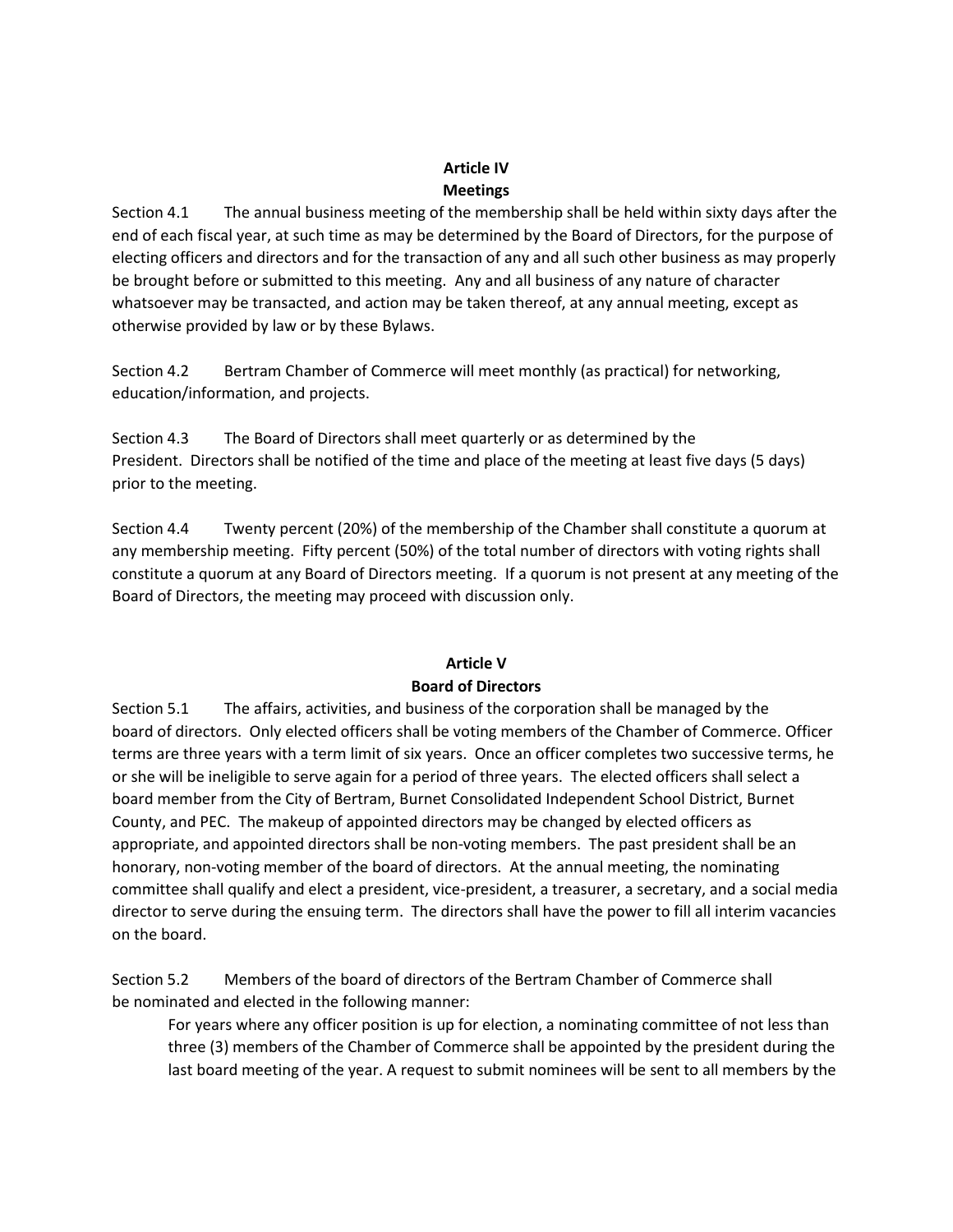# **Article IV Meetings**

Section 4.1 The annual business meeting of the membership shall be held within sixty days after the end of each fiscal year, at such time as may be determined by the Board of Directors, for the purpose of electing officers and directors and for the transaction of any and all such other business as may properly be brought before or submitted to this meeting. Any and all business of any nature of character whatsoever may be transacted, and action may be taken thereof, at any annual meeting, except as otherwise provided by law or by these Bylaws.

Section 4.2 Bertram Chamber of Commerce will meet monthly (as practical) for networking, education/information, and projects.

Section 4.3 The Board of Directors shall meet quarterly or as determined by the President. Directors shall be notified of the time and place of the meeting at least five days (5 days) prior to the meeting.

Section 4.4 Twenty percent (20%) of the membership of the Chamber shall constitute a quorum at any membership meeting. Fifty percent (50%) of the total number of directors with voting rights shall constitute a quorum at any Board of Directors meeting. If a quorum is not present at any meeting of the Board of Directors, the meeting may proceed with discussion only.

# **Article V Board of Directors**

Section 5.1 The affairs, activities, and business of the corporation shall be managed by the board of directors. Only elected officers shall be voting members of the Chamber of Commerce. Officer terms are three years with a term limit of six years. Once an officer completes two successive terms, he or she will be ineligible to serve again for a period of three years. The elected officers shall select a board member from the City of Bertram, Burnet Consolidated Independent School District, Burnet County, and PEC. The makeup of appointed directors may be changed by elected officers as appropriate, and appointed directors shall be non-voting members. The past president shall be an honorary, non-voting member of the board of directors. At the annual meeting, the nominating committee shall qualify and elect a president, vice-president, a treasurer, a secretary, and a social media director to serve during the ensuing term. The directors shall have the power to fill all interim vacancies on the board.

Section 5.2 Members of the board of directors of the Bertram Chamber of Commerce shall be nominated and elected in the following manner:

For years where any officer position is up for election, a nominating committee of not less than three (3) members of the Chamber of Commerce shall be appointed by the president during the last board meeting of the year. A request to submit nominees will be sent to all members by the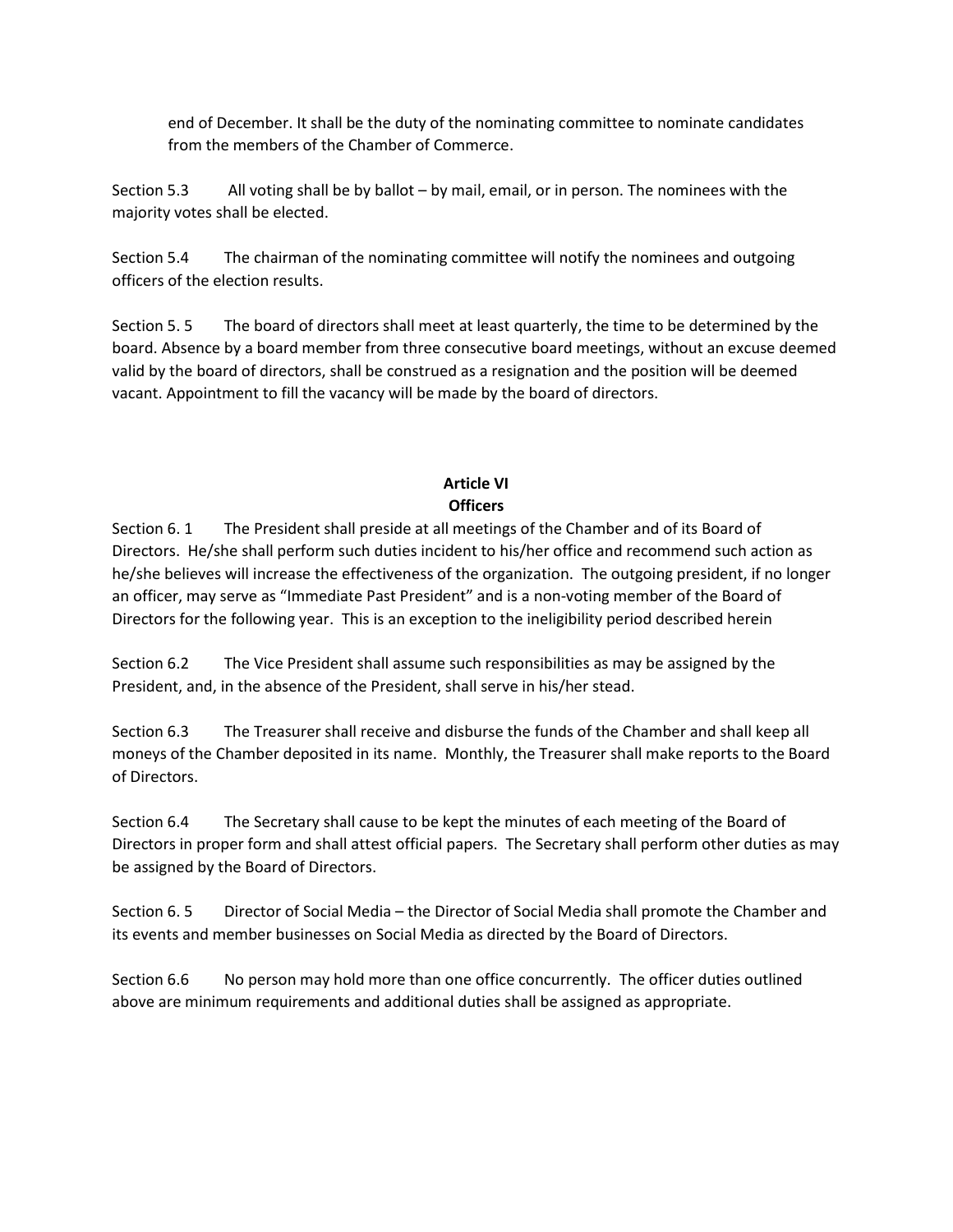end of December. It shall be the duty of the nominating committee to nominate candidates from the members of the Chamber of Commerce.

Section 5.3 All voting shall be by ballot – by mail, email, or in person. The nominees with the majority votes shall be elected.

Section 5.4 The chairman of the nominating committee will notify the nominees and outgoing officers of the election results.

Section 5. 5 The board of directors shall meet at least quarterly, the time to be determined by the board. Absence by a board member from three consecutive board meetings, without an excuse deemed valid by the board of directors, shall be construed as a resignation and the position will be deemed vacant. Appointment to fill the vacancy will be made by the board of directors.

# **Article VI Officers**

Section 6. 1 The President shall preside at all meetings of the Chamber and of its Board of Directors. He/she shall perform such duties incident to his/her office and recommend such action as he/she believes will increase the effectiveness of the organization. The outgoing president, if no longer an officer, may serve as "Immediate Past President" and is a non-voting member of the Board of Directors for the following year. This is an exception to the ineligibility period described herein

Section 6.2 The Vice President shall assume such responsibilities as may be assigned by the President, and, in the absence of the President, shall serve in his/her stead.

Section 6.3 The Treasurer shall receive and disburse the funds of the Chamber and shall keep all moneys of the Chamber deposited in its name. Monthly, the Treasurer shall make reports to the Board of Directors.

Section 6.4 The Secretary shall cause to be kept the minutes of each meeting of the Board of Directors in proper form and shall attest official papers. The Secretary shall perform other duties as may be assigned by the Board of Directors.

Section 6. 5 Director of Social Media – the Director of Social Media shall promote the Chamber and its events and member businesses on Social Media as directed by the Board of Directors.

Section 6.6 No person may hold more than one office concurrently. The officer duties outlined above are minimum requirements and additional duties shall be assigned as appropriate.